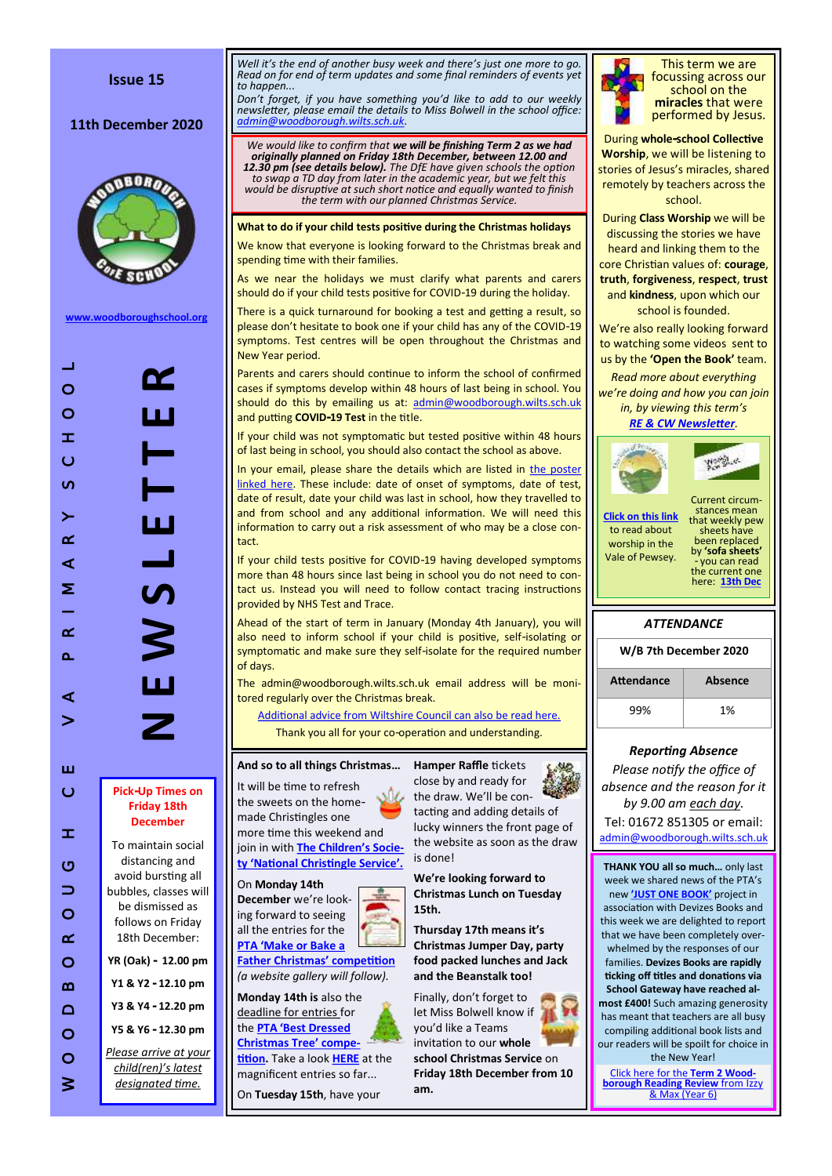11th December 2020



**[www.woodboroughschool.org](https://woodboroughschool.org/)**

W O C D B O C D B O C D B O C D B O C D B O C D B O C D B O C D C D C D Fick- Up Times on<br>
O C D C D C D C D Fick- Up Times on<br>
D C D C D C D Fick- Up Times on<br>
D C D C D C D Fick- Up Times on<br>
D C D C D C D Fick- Up Ti  $\equiv$ **N E W S L E T T E R** œ  $\circ$  $\circ$  $\mathbb{R}^n$  .  $\equiv$  $\circ$ a<br>Ma  $\sigma$  $\geq$  $\overline{\mathbf{H}}$  $\alpha$  $\prec$ **S** Σ  $\alpha$  $\cap$  $\mathbf{L}$  $\triangleleft$  $\geq$ ш  $\circ$ **Pick -Up Times on Friday 18th December**  $\mathbbmss{E}$ To maintain social distancing and  $\circ$ avoid bursting all  $\Rightarrow$ bubbles, classes will be dismissed as  $\circ$ follows on Friday  $\alpha$ 18th December:  $\circ$ **YR (Oak) - 12.00 pm**  $\boldsymbol{\underline{\infty}}$ **Y1 & Y2 - 12.10 pm Y3 & Y4 - 12.20 pm**  $\Omega$ **Y5 & Y6 - 12.30 pm**  $\circ$ *Please arrive at your*   $\circ$ *child(ren) 's latest designated time.*  $\geq$ 

*Well it 's the end of another busy week and there 's just one more to go. Read on for end of term updates and some final reminders of events yet to happen...*

*Don 't forget, if you have something you 'd like to add to our weekly newsletter, please email the details to Miss Bolwell in the school office: [admin@woodborough.wilts.sch.uk.](mailto:admin@woodborough.wilts.sch.uk)* 

*We would like to confirm that we will be finishing Term 2 as we had originally planned on Friday 18th December, between 12.00 and*  **12.30 pm (see details below).** The DfE have given schools the option<br>to swap a TD day from later in the academic year, but we felt this<br>would be disruptive at such short notice and equally wanted to finish *the term with our planned Christmas Service.*

**What to do if your child tests positive during the Christmas holidays**

We know that everyone is looking forward to the Christmas break and spending time with their families.

As we near the holidays we must clarify what parents and carers should do if your child tests positive for COVID -19 during the holiday.

There is a quick turnaround for booking a test and getting a result, so please don 't hesitate to book one if your child has any of the COVID -19 symptoms. Test centres will be open throughout the Christmas and New Year period.

Parents and carers should continue to inform the school of confirmed cases if symptoms develop within 48 hours of last being in school. You should do this by emailing us at: [admin@woodborough.wilts.sch.uk](mailto:admin@woodborough.wilts.sch.uk) and putting **COVID -19 Test** in the title.

If your child was not symptomatic but tested positive within 48 hours of last being in school, you should also contact the school as above.

In your email, please share the details which are listed in [the poster](https://woodboroughschool.org/wp-content/uploads/2020/12/B-COVID-19-School-Close-Contact-poster.pdf)  [linked here.](https://woodboroughschool.org/wp-content/uploads/2020/12/B-COVID-19-School-Close-Contact-poster.pdf) These include: date of onset of symptoms, date of test, date of result, date your child was last in school, how they travelled to and from school and any additional information. We will need this information to carry out a risk assessment of who may be a close contact.

If your child tests positive for COVID -19 having developed symptoms more than 48 hours since last being in school you do not need to contact us. Instead you will need to follow contact tracing instructions provided by NHS Test and Trace.

Ahead of the start of term in January (Monday 4th January), you will also need to inform school if your child is positive, self -isolating or symptomatic and make sure they self -isolate for the required number of days.

The admin@woodborough.wilts.sch.uk email address will be monitored regularly over the Christmas break.

[Additional advice from Wiltshire Council can also be read here.](https://woodboroughschool.org/wp-content/uploads/2020/12/Wiltshire-Council-Letter-to-Headteachers-December-2020.pdf) Thank you all for your co -operation and understanding.

#### **And so to all things Christmas …**

It will be time to refresh the sweets on the home made Christingles one more time this weekend and join in with **[The Children](https://www.childrenssociety.org.uk/how-you-can-help/fundraise-and-events/christingle) 's Socie[ty 'National Christingle Service'.](https://www.childrenssociety.org.uk/how-you-can-help/fundraise-and-events/christingle)**

On **Monday 14th December** we 're look-



**[Father Christmas' competition](https://woodboroughschool.org/wp-content/uploads/2020/12/Make-or-Bake-a-Father-Christmas-Dec-2020.pdf)** *(a website gallery will follow).*

**Monday 14th is** also the deadline for entries for the **PTA ['Best Dressed](https://woodboroughschool.org/wp-content/uploads/2020/11/PTA-Best-Dressed-Christmas-Tree-Competition.pdf)  [Christmas Tree' compe-](https://woodboroughschool.org/wp-content/uploads/2020/11/PTA-Best-Dressed-Christmas-Tree-Competition.pdf)**

**[tition.](https://woodboroughschool.org/wp-content/uploads/2020/11/PTA-Best-Dressed-Christmas-Tree-Competition.pdf)** Take a look **[HERE](https://woodboroughschool.org/gallery/behold-the-best-dressed-christmas-trees-in-woodborough/)** at the magnificent entries so far...

On **Tuesday 15th**, have your



**M2** 

tacting and adding details of lucky winners the front page of the website as soon as the draw

**We 're looking forward to Christmas Lunch on Tuesday 15th.**

**Thursday 17th means it 's Christmas Jumper Day, party food packed lunches and Jack and the Beanstalk too!** 

Finally, don 't forget to let Miss Bolwell know if you 'd like a Teams invitation to our **whole school Christmas Service** on **Friday 18th December from 10 am.**



This term we are focussing across our school on the **miracles** that were performed by Jesus.

During **whole -school Collective Worship**, we will be listening to stories of Jesus 's miracles, shared remotely by teachers across the school. During **Class Worship** we will be discussing the stories we have heard and linking them to the core Christian values of: **courage**, **truth**, **forgiveness**, **respect**, **trust** and **kindness**, upon which our school is founded. We 're also really looking forward to watching some videos sent to us by the **'Open the Book'** team. *Read more about everything we 're doing and how you can join in, by viewing this term 's [RE & CW Newsletter](https://woodboroughschool.org/wp-content/uploads/2020/11/RE-NEWSLETTER-Autumn-2-November-2020.pdf) .* **World** us Current circumstances mean **[Click on this link](https://www.valeofpewsey.org/)** that weekly pew to read about sheets have been replaced worship in the

*ATTENDANCE*

by **'sofa sheets'**  - you can read the current one here: **[13th Dec](https://woodboroughschool.org/wp-content/uploads/2020/12/13th-December.pdf)**

Vale of Pewsey.

| W/B 7th December 2020 |                       |  |  |
|-----------------------|-----------------------|--|--|
|                       | <b>ALL-</b> - - - - - |  |  |

| Attendance | Absence |  |
|------------|---------|--|
| 99%        | 1%      |  |

#### *Reporting Absence*

*Please notify the office of absence and the reason for it by 9.00 am each day.*  Tel: 01672 851305 or email: [admin@woodborough.wilts.sch.uk](mailto:admin@woodborough.wilts.sch.uk)

**THANK YOU all so much…** only last week we shared news of the PTA 's new **['JUST ONE BOOK](https://woodboroughschool.org/wp-content/uploads/2020/12/PTA-Just-One-Book-December-2020.pdf) '** project in association with Devizes Books and this week we are delighted to report that we have been completely overwhelmed by the responses of our families. **Devizes Books are rapidly ticking off titles and donations via School Gateway have reached almost £400!** Such amazing generosity has meant that teachers are all busy compiling additional book lists and our readers will be spoilt for choice in the New Year!

**[Click here for the](https://woodboroughschool.org/wp-content/uploads/2020/12/Y6-Reader-Leader-Winter-Term-Reading-Review-Dec-2020.pdf) Term 2 Wood-<br>
<b>borough Reading Review** from Izz **[borough Reading Review](https://woodboroughschool.org/wp-content/uploads/2020/12/Y6-Reader-Leader-Winter-Term-Reading-Review-Dec-2020.pdf)** from Izzy [& Max \(Year 6\)](https://woodboroughschool.org/wp-content/uploads/2020/12/Y6-Reader-Leader-Winter-Term-Reading-Review-Dec-2020.pdf)

is done!